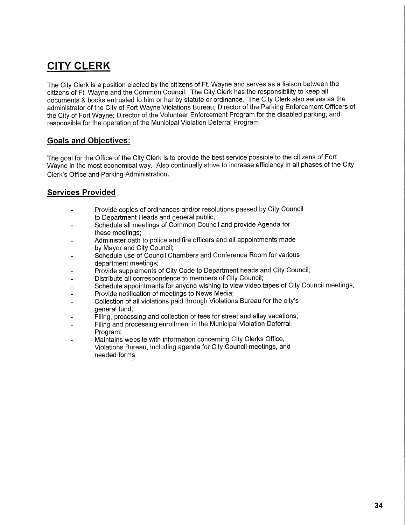## **CITY CLERK**

The City Clerk is a position elected by the citizens of Ft. Wayne and serves as a liaison between the citizens of Ft. Wayne and the Common Council. The City Clerk has the responsibility to keep all documents & books entrusted to him or her by statute or ordinance. The City Clerk also serves as the administrator of the City of Fort Wayne Violations Bureau; Director of the Parking Enforcement Officers of the City of Fort Wayne; Director of the Volunteer Enforcement Program for the disabled parking; and responsible for the operation of the Municipal Violation Deferral Program.

## **Goals and Objectives:**

The goal for the Office of the City Clerk is to provide the best service possible to the citizens of Fort Wayne in the most economical way. Also continually strive to increase efficiency in all phases of the City Clerk's Office and Parking Administration.

## **Services Provided**

- Provide copies of ordinances and/or resolutions passed by City Council to Department Heads and general public;
- Schedule all meetings of Common Council and provide Agenda for these meetings;
- Administer oath to police and fire officers and all appointments made by Mayor and City Council;
- Schedule use of Council Chambers and Conference Room for various department meetings;
- Provide supplements of City Code to Department heads and City Council;
- Distribute all correspondence to members of City Council;
- Schedule appointments for anyone wishing to view video tapes of City Council meetings;
- Provide notification of meetings to News Media;
- Collection of all violations paid through Violations Bureau for the city's general fund;
- Filing, processing and collection of fees for street and alley vacations;
- Filing and processing enrollment in the Municipal Violation Deferral Program;
- Maintains website with information concerning City Clerks Office, Violations Bureau, including agenda for City Council meetings, and needed forms;